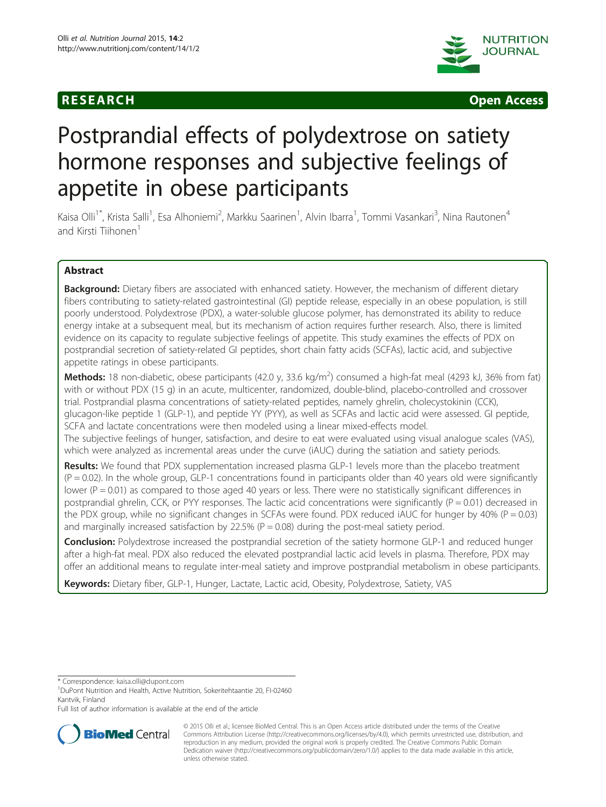



# Postprandial effects of polydextrose on satiety hormone responses and subjective feelings of appetite in obese participants

Kaisa Olli<sup>1\*</sup>, Krista Salli<sup>1</sup>, Esa Alhoniemi<sup>2</sup>, Markku Saarinen<sup>1</sup>, Alvin Ibarra<sup>1</sup>, Tommi Vasankari<sup>3</sup>, Nina Rautonen<sup>4</sup> and Kirsti Tiihonen<sup>1</sup>

# Abstract

Background: Dietary fibers are associated with enhanced satiety. However, the mechanism of different dietary fibers contributing to satiety-related gastrointestinal (GI) peptide release, especially in an obese population, is still poorly understood. Polydextrose (PDX), a water-soluble glucose polymer, has demonstrated its ability to reduce energy intake at a subsequent meal, but its mechanism of action requires further research. Also, there is limited evidence on its capacity to regulate subjective feelings of appetite. This study examines the effects of PDX on postprandial secretion of satiety-related GI peptides, short chain fatty acids (SCFAs), lactic acid, and subjective appetite ratings in obese participants.

Methods: 18 non-diabetic, obese participants (42.0 y, 33.6 kg/m<sup>2</sup>) consumed a high-fat meal (4293 kJ, 36% from fat) with or without PDX (15 g) in an acute, multicenter, randomized, double-blind, placebo-controlled and crossover trial. Postprandial plasma concentrations of satiety-related peptides, namely ghrelin, cholecystokinin (CCK), glucagon-like peptide 1 (GLP-1), and peptide YY (PYY), as well as SCFAs and lactic acid were assessed. GI peptide, SCFA and lactate concentrations were then modeled using a linear mixed-effects model. The subjective feelings of hunger, satisfaction, and desire to eat were evaluated using visual analogue scales (VAS), which were analyzed as incremental areas under the curve (iAUC) during the satiation and satiety periods.

Results: We found that PDX supplementation increased plasma GLP-1 levels more than the placebo treatment  $(P = 0.02)$ . In the whole group, GLP-1 concentrations found in participants older than 40 years old were significantly lower  $(P = 0.01)$  as compared to those aged 40 years or less. There were no statistically significant differences in postprandial ghrelin, CCK, or PYY responses. The lactic acid concentrations were significantly ( $P = 0.01$ ) decreased in the PDX group, while no significant changes in SCFAs were found. PDX reduced iAUC for hunger by 40% (P = 0.03) and marginally increased satisfaction by 22.5% ( $P = 0.08$ ) during the post-meal satiety period.

**Conclusion:** Polydextrose increased the postprandial secretion of the satiety hormone GLP-1 and reduced hunger after a high-fat meal. PDX also reduced the elevated postprandial lactic acid levels in plasma. Therefore, PDX may offer an additional means to regulate inter-meal satiety and improve postprandial metabolism in obese participants.

Keywords: Dietary fiber, GLP-1, Hunger, Lactate, Lactic acid, Obesity, Polydextrose, Satiety, VAS

Full list of author information is available at the end of the article



<sup>© 2015</sup> Olli et al.; licensee BioMed Central. This is an Open Access article distributed under the terms of the Creative Commons Attribution License [\(http://creativecommons.org/licenses/by/4.0\)](http://creativecommons.org/licenses/by/4.0), which permits unrestricted use, distribution, and reproduction in any medium, provided the original work is properly credited. The Creative Commons Public Domain Dedication waiver [\(http://creativecommons.org/publicdomain/zero/1.0/](http://creativecommons.org/publicdomain/zero/1.0/)) applies to the data made available in this article, unless otherwise stated.

<sup>\*</sup> Correspondence: [kaisa.olli@dupont.com](mailto:kaisa.olli@dupont.com) <sup>1</sup>

<sup>&</sup>lt;sup>1</sup>DuPont Nutrition and Health, Active Nutrition, Sokeritehtaantie 20, FI-02460 Kantvik, Finland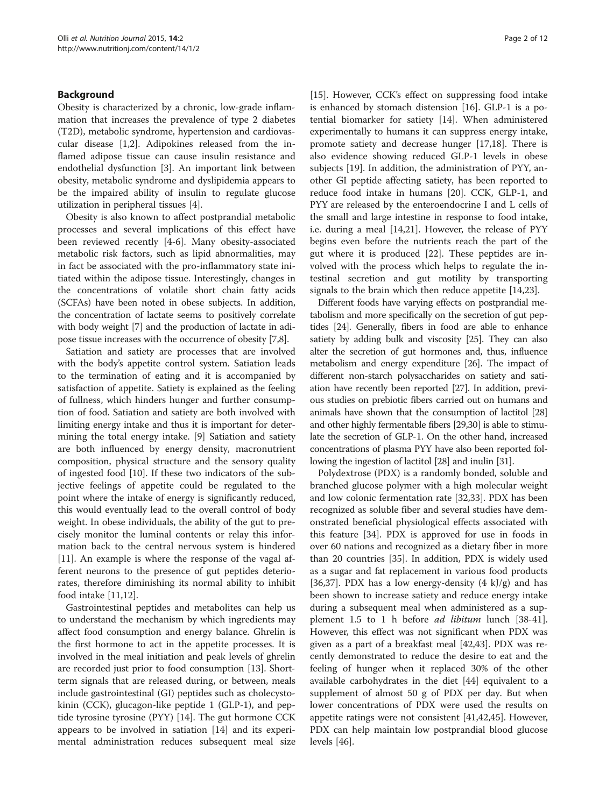# Background

Obesity is characterized by a chronic, low-grade inflammation that increases the prevalence of type 2 diabetes (T2D), metabolic syndrome, hypertension and cardiovascular disease [[1,2\]](#page-10-0). Adipokines released from the inflamed adipose tissue can cause insulin resistance and endothelial dysfunction [[3\]](#page-10-0). An important link between obesity, metabolic syndrome and dyslipidemia appears to be the impaired ability of insulin to regulate glucose utilization in peripheral tissues [\[4\]](#page-10-0).

Obesity is also known to affect postprandial metabolic processes and several implications of this effect have been reviewed recently [\[4](#page-10-0)-[6\]](#page-10-0). Many obesity-associated metabolic risk factors, such as lipid abnormalities, may in fact be associated with the pro-inflammatory state initiated within the adipose tissue. Interestingly, changes in the concentrations of volatile short chain fatty acids (SCFAs) have been noted in obese subjects. In addition, the concentration of lactate seems to positively correlate with body weight [\[7](#page-10-0)] and the production of lactate in adipose tissue increases with the occurrence of obesity [\[7,8\]](#page-10-0).

Satiation and satiety are processes that are involved with the body's appetite control system. Satiation leads to the termination of eating and it is accompanied by satisfaction of appetite. Satiety is explained as the feeling of fullness, which hinders hunger and further consumption of food. Satiation and satiety are both involved with limiting energy intake and thus it is important for determining the total energy intake. [[9\]](#page-10-0) Satiation and satiety are both influenced by energy density, macronutrient composition, physical structure and the sensory quality of ingested food [\[10\]](#page-10-0). If these two indicators of the subjective feelings of appetite could be regulated to the point where the intake of energy is significantly reduced, this would eventually lead to the overall control of body weight. In obese individuals, the ability of the gut to precisely monitor the luminal contents or relay this information back to the central nervous system is hindered [[11\]](#page-10-0). An example is where the response of the vagal afferent neurons to the presence of gut peptides deteriorates, therefore diminishing its normal ability to inhibit food intake [[11,12\]](#page-10-0).

Gastrointestinal peptides and metabolites can help us to understand the mechanism by which ingredients may affect food consumption and energy balance. Ghrelin is the first hormone to act in the appetite processes. It is involved in the meal initiation and peak levels of ghrelin are recorded just prior to food consumption [[13](#page-10-0)]. Shortterm signals that are released during, or between, meals include gastrointestinal (GI) peptides such as cholecystokinin (CCK), glucagon-like peptide 1 (GLP-1), and peptide tyrosine tyrosine (PYY) [[14\]](#page-10-0). The gut hormone CCK appears to be involved in satiation [\[14](#page-10-0)] and its experimental administration reduces subsequent meal size [[15\]](#page-10-0). However, CCK's effect on suppressing food intake is enhanced by stomach distension [\[16\]](#page-10-0). GLP-1 is a potential biomarker for satiety [[14](#page-10-0)]. When administered experimentally to humans it can suppress energy intake, promote satiety and decrease hunger [\[17,18](#page-10-0)]. There is also evidence showing reduced GLP-1 levels in obese subjects [[19\]](#page-10-0). In addition, the administration of PYY, another GI peptide affecting satiety, has been reported to reduce food intake in humans [[20\]](#page-10-0). CCK, GLP-1, and PYY are released by the enteroendocrine I and L cells of the small and large intestine in response to food intake, i.e. during a meal [\[14,21](#page-10-0)]. However, the release of PYY begins even before the nutrients reach the part of the gut where it is produced [\[22](#page-10-0)]. These peptides are involved with the process which helps to regulate the intestinal secretion and gut motility by transporting signals to the brain which then reduce appetite [[14](#page-10-0),[23](#page-10-0)].

Different foods have varying effects on postprandial metabolism and more specifically on the secretion of gut peptides [\[24](#page-10-0)]. Generally, fibers in food are able to enhance satiety by adding bulk and viscosity [\[25\]](#page-10-0). They can also alter the secretion of gut hormones and, thus, influence metabolism and energy expenditure [[26](#page-10-0)]. The impact of different non-starch polysaccharides on satiety and satiation have recently been reported [\[27\]](#page-10-0). In addition, previous studies on prebiotic fibers carried out on humans and animals have shown that the consumption of lactitol [\[28](#page-10-0)] and other highly fermentable fibers [\[29,30\]](#page-10-0) is able to stimulate the secretion of GLP-1. On the other hand, increased concentrations of plasma PYY have also been reported following the ingestion of lactitol [\[28](#page-10-0)] and inulin [\[31](#page-10-0)].

Polydextrose (PDX) is a randomly bonded, soluble and branched glucose polymer with a high molecular weight and low colonic fermentation rate [\[32,33](#page-10-0)]. PDX has been recognized as soluble fiber and several studies have demonstrated beneficial physiological effects associated with this feature [\[34\]](#page-10-0). PDX is approved for use in foods in over 60 nations and recognized as a dietary fiber in more than 20 countries [\[35](#page-10-0)]. In addition, PDX is widely used as a sugar and fat replacement in various food products [[36,37\]](#page-10-0). PDX has a low energy-density  $(4 \text{ kJ/g})$  and has been shown to increase satiety and reduce energy intake during a subsequent meal when administered as a supplement 1.5 to 1 h before *ad libitum* lunch [\[38](#page-10-0)[-41](#page-11-0)]. However, this effect was not significant when PDX was given as a part of a breakfast meal [\[42,43\]](#page-11-0). PDX was recently demonstrated to reduce the desire to eat and the feeling of hunger when it replaced 30% of the other available carbohydrates in the diet [[44\]](#page-11-0) equivalent to a supplement of almost 50 g of PDX per day. But when lower concentrations of PDX were used the results on appetite ratings were not consistent [\[41,42,45](#page-11-0)]. However, PDX can help maintain low postprandial blood glucose levels [\[46\]](#page-11-0).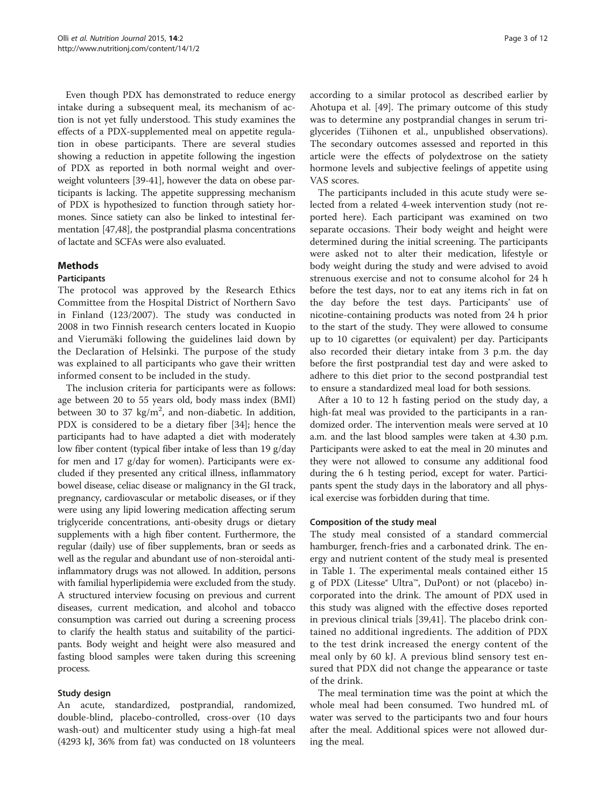Even though PDX has demonstrated to reduce energy intake during a subsequent meal, its mechanism of action is not yet fully understood. This study examines the effects of a PDX-supplemented meal on appetite regulation in obese participants. There are several studies showing a reduction in appetite following the ingestion of PDX as reported in both normal weight and overweight volunteers [\[39](#page-10-0)[-41](#page-11-0)], however the data on obese participants is lacking. The appetite suppressing mechanism of PDX is hypothesized to function through satiety hormones. Since satiety can also be linked to intestinal fermentation [[47,48\]](#page-11-0), the postprandial plasma concentrations of lactate and SCFAs were also evaluated.

# Methods

# Participants

The protocol was approved by the Research Ethics Committee from the Hospital District of Northern Savo in Finland (123/2007). The study was conducted in 2008 in two Finnish research centers located in Kuopio and Vierumäki following the guidelines laid down by the Declaration of Helsinki. The purpose of the study was explained to all participants who gave their written informed consent to be included in the study.

The inclusion criteria for participants were as follows: age between 20 to 55 years old, body mass index (BMI) between 30 to 37  $\text{kg/m}^2$ , and non-diabetic. In addition, PDX is considered to be a dietary fiber [[34](#page-10-0)]; hence the participants had to have adapted a diet with moderately low fiber content (typical fiber intake of less than 19 g/day for men and 17 g/day for women). Participants were excluded if they presented any critical illness, inflammatory bowel disease, celiac disease or malignancy in the GI track, pregnancy, cardiovascular or metabolic diseases, or if they were using any lipid lowering medication affecting serum triglyceride concentrations, anti-obesity drugs or dietary supplements with a high fiber content. Furthermore, the regular (daily) use of fiber supplements, bran or seeds as well as the regular and abundant use of non-steroidal antiinflammatory drugs was not allowed. In addition, persons with familial hyperlipidemia were excluded from the study. A structured interview focusing on previous and current diseases, current medication, and alcohol and tobacco consumption was carried out during a screening process to clarify the health status and suitability of the participants. Body weight and height were also measured and fasting blood samples were taken during this screening process.

# Study design

An acute, standardized, postprandial, randomized, double-blind, placebo-controlled, cross-over (10 days wash-out) and multicenter study using a high-fat meal (4293 kJ, 36% from fat) was conducted on 18 volunteers

according to a similar protocol as described earlier by Ahotupa et al. [[49](#page-11-0)]. The primary outcome of this study was to determine any postprandial changes in serum triglycerides (Tiihonen et al., unpublished observations). The secondary outcomes assessed and reported in this article were the effects of polydextrose on the satiety hormone levels and subjective feelings of appetite using VAS scores.

The participants included in this acute study were selected from a related 4-week intervention study (not reported here). Each participant was examined on two separate occasions. Their body weight and height were determined during the initial screening. The participants were asked not to alter their medication, lifestyle or body weight during the study and were advised to avoid strenuous exercise and not to consume alcohol for 24 h before the test days, nor to eat any items rich in fat on the day before the test days. Participants' use of nicotine-containing products was noted from 24 h prior to the start of the study. They were allowed to consume up to 10 cigarettes (or equivalent) per day. Participants also recorded their dietary intake from 3 p.m. the day before the first postprandial test day and were asked to adhere to this diet prior to the second postprandial test to ensure a standardized meal load for both sessions.

After a 10 to 12 h fasting period on the study day, a high-fat meal was provided to the participants in a randomized order. The intervention meals were served at 10 a.m. and the last blood samples were taken at 4.30 p.m. Participants were asked to eat the meal in 20 minutes and they were not allowed to consume any additional food during the 6 h testing period, except for water. Participants spent the study days in the laboratory and all physical exercise was forbidden during that time.

# Composition of the study meal

The study meal consisted of a standard commercial hamburger, french-fries and a carbonated drink. The energy and nutrient content of the study meal is presented in Table [1](#page-3-0). The experimental meals contained either 15 g of PDX (Litesse® Ultra™, DuPont) or not (placebo) incorporated into the drink. The amount of PDX used in this study was aligned with the effective doses reported in previous clinical trials [[39,](#page-10-0)[41](#page-11-0)]. The placebo drink contained no additional ingredients. The addition of PDX to the test drink increased the energy content of the meal only by 60 kJ. A previous blind sensory test ensured that PDX did not change the appearance or taste of the drink.

The meal termination time was the point at which the whole meal had been consumed. Two hundred mL of water was served to the participants two and four hours after the meal. Additional spices were not allowed during the meal.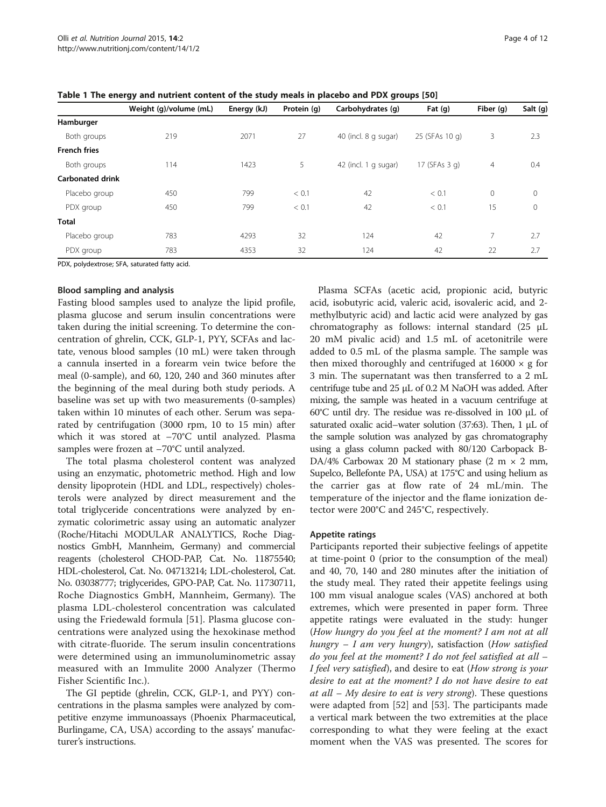|                         | Weight (g)/volume (mL) | Energy (kJ) | Protein (g) | Carbohydrates (g)    | Fat $(g)$      | Fiber (g)      | Salt (g)     |
|-------------------------|------------------------|-------------|-------------|----------------------|----------------|----------------|--------------|
| Hamburger               |                        |             |             |                      |                |                |              |
| Both groups             | 219                    | 2071        | 27          | 40 (incl. 8 g sugar) | 25 (SFAs 10 g) | 3              | 2.3          |
| <b>French fries</b>     |                        |             |             |                      |                |                |              |
| Both groups             | 114                    | 1423        | 5           | 42 (incl. 1 g sugar) | 17 (SFAs 3 g)  | $\overline{4}$ | 0.4          |
| <b>Carbonated drink</b> |                        |             |             |                      |                |                |              |
| Placebo group           | 450                    | 799         | < 0.1       | 42                   | < 0.1          | $\mathbf 0$    | $\mathbf{0}$ |
| PDX group               | 450                    | 799         | < 0.1       | 42                   | < 0.1          | 15             | $\mathbf{0}$ |
| <b>Total</b>            |                        |             |             |                      |                |                |              |
| Placebo group           | 783                    | 4293        | 32          | 124                  | 42             | 7              | 2.7          |
| PDX group               | 783                    | 4353        | 32          | 124                  | 42             | 22             | 2.7          |

<span id="page-3-0"></span>Table 1 The energy and nutrient content of the study meals in placebo and PDX groups [[50\]](#page-11-0)

PDX, polydextrose; SFA, saturated fatty acid.

# Blood sampling and analysis

Fasting blood samples used to analyze the lipid profile, plasma glucose and serum insulin concentrations were taken during the initial screening. To determine the concentration of ghrelin, CCK, GLP-1, PYY, SCFAs and lactate, venous blood samples (10 mL) were taken through a cannula inserted in a forearm vein twice before the meal (0-sample), and 60, 120, 240 and 360 minutes after the beginning of the meal during both study periods. A baseline was set up with two measurements (0-samples) taken within 10 minutes of each other. Serum was separated by centrifugation (3000 rpm, 10 to 15 min) after which it was stored at –70°C until analyzed. Plasma samples were frozen at –70°C until analyzed.

The total plasma cholesterol content was analyzed using an enzymatic, photometric method. High and low density lipoprotein (HDL and LDL, respectively) cholesterols were analyzed by direct measurement and the total triglyceride concentrations were analyzed by enzymatic colorimetric assay using an automatic analyzer (Roche/Hitachi MODULAR ANALYTICS, Roche Diagnostics GmbH, Mannheim, Germany) and commercial reagents (cholesterol CHOD-PAP, Cat. No. 11875540; HDL-cholesterol, Cat. No. 04713214; LDL-cholesterol, Cat. No. 03038777; triglycerides, GPO-PAP, Cat. No. 11730711, Roche Diagnostics GmbH, Mannheim, Germany). The plasma LDL-cholesterol concentration was calculated using the Friedewald formula [\[51](#page-11-0)]. Plasma glucose concentrations were analyzed using the hexokinase method with citrate-fluoride. The serum insulin concentrations were determined using an immunoluminometric assay measured with an Immulite 2000 Analyzer (Thermo Fisher Scientific Inc.).

The GI peptide (ghrelin, CCK, GLP-1, and PYY) concentrations in the plasma samples were analyzed by competitive enzyme immunoassays (Phoenix Pharmaceutical, Burlingame, CA, USA) according to the assays' manufacturer's instructions.

Plasma SCFAs (acetic acid, propionic acid, butyric acid, isobutyric acid, valeric acid, isovaleric acid, and 2 methylbutyric acid) and lactic acid were analyzed by gas chromatography as follows: internal standard (25 μL 20 mM pivalic acid) and 1.5 mL of acetonitrile were added to 0.5 mL of the plasma sample. The sample was then mixed thoroughly and centrifuged at  $16000 \times g$  for 3 min. The supernatant was then transferred to a 2 mL centrifuge tube and 25 μL of 0.2 M NaOH was added. After mixing, the sample was heated in a vacuum centrifuge at 60°C until dry. The residue was re-dissolved in 100 μL of saturated oxalic acid–water solution (37:63). Then, 1 μL of the sample solution was analyzed by gas chromatography using a glass column packed with 80/120 Carbopack B-DA/4% Carbowax 20 M stationary phase  $(2 \text{ m} \times 2 \text{ mm})$ , Supelco, Bellefonte PA, USA) at 175°C and using helium as the carrier gas at flow rate of 24 mL/min. The temperature of the injector and the flame ionization detector were 200°C and 245°C, respectively.

# Appetite ratings

Participants reported their subjective feelings of appetite at time-point 0 (prior to the consumption of the meal) and 40, 70, 140 and 280 minutes after the initiation of the study meal. They rated their appetite feelings using 100 mm visual analogue scales (VAS) anchored at both extremes, which were presented in paper form. Three appetite ratings were evaluated in the study: hunger (How hungry do you feel at the moment? I am not at all hungry  $-$  I am very hungry), satisfaction (How satisfied do you feel at the moment? I do not feel satisfied at all – I feel very satisfied), and desire to eat (How strong is your desire to eat at the moment? I do not have desire to eat at all  $-$  My desire to eat is very strong). These questions were adapted from [\[52\]](#page-11-0) and [\[53\]](#page-11-0). The participants made a vertical mark between the two extremities at the place corresponding to what they were feeling at the exact moment when the VAS was presented. The scores for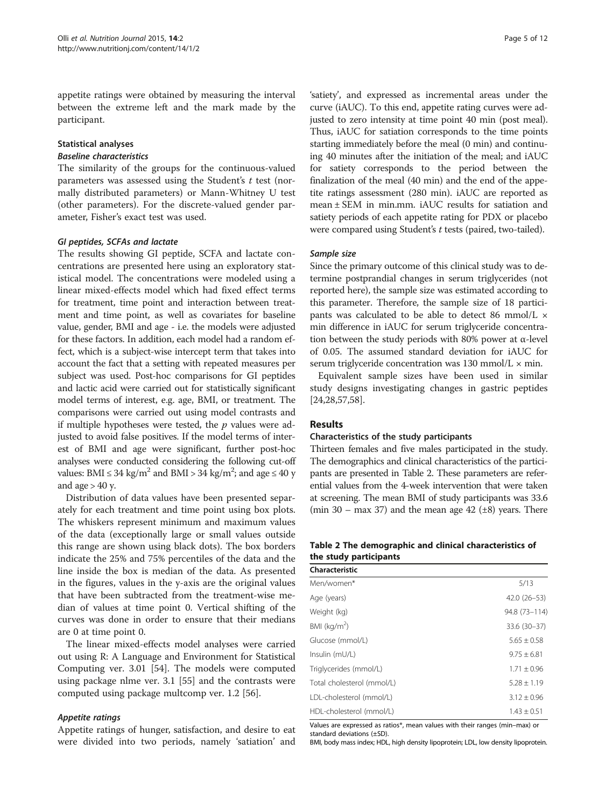appetite ratings were obtained by measuring the interval between the extreme left and the mark made by the participant.

# Statistical analyses

#### Baseline characteristics

The similarity of the groups for the continuous-valued parameters was assessed using the Student's  $t$  test (normally distributed parameters) or Mann-Whitney U test (other parameters). For the discrete-valued gender parameter, Fisher's exact test was used.

# GI peptides, SCFAs and lactate

The results showing GI peptide, SCFA and lactate concentrations are presented here using an exploratory statistical model. The concentrations were modeled using a linear mixed-effects model which had fixed effect terms for treatment, time point and interaction between treatment and time point, as well as covariates for baseline value, gender, BMI and age - i.e. the models were adjusted for these factors. In addition, each model had a random effect, which is a subject-wise intercept term that takes into account the fact that a setting with repeated measures per subject was used. Post-hoc comparisons for GI peptides and lactic acid were carried out for statistically significant model terms of interest, e.g. age, BMI, or treatment. The comparisons were carried out using model contrasts and if multiple hypotheses were tested, the  $p$  values were adjusted to avoid false positives. If the model terms of interest of BMI and age were significant, further post-hoc analyses were conducted considering the following cut-off values: BMI  $\leq 34$  kg/m<sup>2</sup> and BMI > 34 kg/m<sup>2</sup>; and age  $\leq 40$  y and age  $> 40$  y.

Distribution of data values have been presented separately for each treatment and time point using box plots. The whiskers represent minimum and maximum values of the data (exceptionally large or small values outside this range are shown using black dots). The box borders indicate the 25% and 75% percentiles of the data and the line inside the box is median of the data. As presented in the figures, values in the y-axis are the original values that have been subtracted from the treatment-wise median of values at time point 0. Vertical shifting of the curves was done in order to ensure that their medians are 0 at time point 0.

The linear mixed-effects model analyses were carried out using R: A Language and Environment for Statistical Computing ver. 3.01 [\[54](#page-11-0)]. The models were computed using package nlme ver. 3.1 [\[55\]](#page-11-0) and the contrasts were computed using package multcomp ver. 1.2 [[56](#page-11-0)].

# Appetite ratings

Appetite ratings of hunger, satisfaction, and desire to eat were divided into two periods, namely 'satiation' and

'satiety', and expressed as incremental areas under the curve (iAUC). To this end, appetite rating curves were adjusted to zero intensity at time point 40 min (post meal). Thus, iAUC for satiation corresponds to the time points starting immediately before the meal (0 min) and continuing 40 minutes after the initiation of the meal; and iAUC for satiety corresponds to the period between the finalization of the meal (40 min) and the end of the appetite ratings assessment (280 min). iAUC are reported as mean ± SEM in min.mm. iAUC results for satiation and satiety periods of each appetite rating for PDX or placebo were compared using Student's t tests (paired, two-tailed).

# Sample size

Since the primary outcome of this clinical study was to determine postprandial changes in serum triglycerides (not reported here), the sample size was estimated according to this parameter. Therefore, the sample size of 18 participants was calculated to be able to detect 86 mmol/L  $\times$ min difference in iAUC for serum triglyceride concentration between the study periods with 80% power at α-level of 0.05. The assumed standard deviation for iAUC for serum triglyceride concentration was 130 mmol/ $L \times min$ .

Equivalent sample sizes have been used in similar study designs investigating changes in gastric peptides [[24,28,](#page-10-0)[57,58\]](#page-11-0).

# Results

# Characteristics of the study participants

Thirteen females and five males participated in the study. The demographics and clinical characteristics of the participants are presented in Table 2. These parameters are referential values from the 4-week intervention that were taken at screening. The mean BMI of study participants was 33.6 (min 30 – max 37) and the mean age 42  $(\pm 8)$  years. There

# Table 2 The demographic and clinical characteristics of the study participants

| Characteristic             |                 |
|----------------------------|-----------------|
| Men/women*                 | 5/13            |
| Age (years)                | $42.0(26-53)$   |
| Weight (kg)                | 94.8 (73-114)   |
| BMI ( $kg/m2$ )            | 33.6 (30-37)    |
| Glucose (mmol/L)           | $5.65 \pm 0.58$ |
| Insulin (mU/L)             | $9.75 \pm 6.81$ |
| Triglycerides (mmol/L)     | $1.71 \pm 0.96$ |
| Total cholesterol (mmol/L) | $5.28 \pm 1.19$ |
| LDL-cholesterol (mmol/L)   | $3.12 \pm 0.96$ |
| HDL-cholesterol (mmol/L)   | $1.43 \pm 0.51$ |

Values are expressed as ratios\*, mean values with their ranges (min–max) or standard deviations (±SD).

BMI, body mass index; HDL, high density lipoprotein; LDL, low density lipoprotein.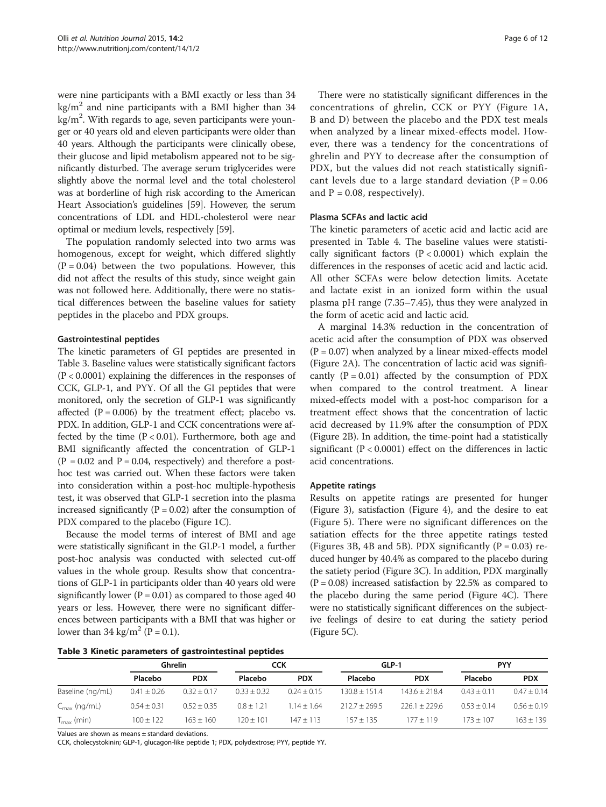were nine participants with a BMI exactly or less than 34  $kg/m<sup>2</sup>$  and nine participants with a BMI higher than 34  $\text{kg/m}^2$ . With regards to age, seven participants were younger or 40 years old and eleven participants were older than 40 years. Although the participants were clinically obese, their glucose and lipid metabolism appeared not to be significantly disturbed. The average serum triglycerides were slightly above the normal level and the total cholesterol was at borderline of high risk according to the American Heart Association's guidelines [\[59\]](#page-11-0). However, the serum concentrations of LDL and HDL-cholesterol were near optimal or medium levels, respectively [[59](#page-11-0)].

The population randomly selected into two arms was homogenous, except for weight, which differed slightly  $(P = 0.04)$  between the two populations. However, this did not affect the results of this study, since weight gain was not followed here. Additionally, there were no statistical differences between the baseline values for satiety peptides in the placebo and PDX groups.

# Gastrointestinal peptides

The kinetic parameters of GI peptides are presented in Table 3. Baseline values were statistically significant factors (P < 0.0001) explaining the differences in the responses of CCK, GLP-1, and PYY. Of all the GI peptides that were monitored, only the secretion of GLP-1 was significantly affected  $(P = 0.006)$  by the treatment effect; placebo vs. PDX. In addition, GLP-1 and CCK concentrations were affected by the time  $(P < 0.01)$ . Furthermore, both age and BMI significantly affected the concentration of GLP-1  $(P = 0.02$  and  $P = 0.04$ , respectively) and therefore a posthoc test was carried out. When these factors were taken into consideration within a post-hoc multiple-hypothesis test, it was observed that GLP-1 secretion into the plasma increased significantly ( $P = 0.02$ ) after the consumption of PDX compared to the placebo (Figure [1](#page-6-0)C).

Because the model terms of interest of BMI and age were statistically significant in the GLP-1 model, a further post-hoc analysis was conducted with selected cut-off values in the whole group. Results show that concentrations of GLP-1 in participants older than 40 years old were significantly lower ( $P = 0.01$ ) as compared to those aged 40 years or less. However, there were no significant differences between participants with a BMI that was higher or lower than 34 kg/m<sup>2</sup> (P = 0.1).

There were no statistically significant differences in the concentrations of ghrelin, CCK or PYY (Figure [1A](#page-6-0), B and D) between the placebo and the PDX test meals when analyzed by a linear mixed-effects model. However, there was a tendency for the concentrations of ghrelin and PYY to decrease after the consumption of PDX, but the values did not reach statistically significant levels due to a large standard deviation ( $P = 0.06$ ) and  $P = 0.08$ , respectively).

# Plasma SCFAs and lactic acid

The kinetic parameters of acetic acid and lactic acid are presented in Table [4.](#page-6-0) The baseline values were statistically significant factors  $(P < 0.0001)$  which explain the differences in the responses of acetic acid and lactic acid. All other SCFAs were below detection limits. Acetate and lactate exist in an ionized form within the usual plasma pH range (7.35–7.45), thus they were analyzed in the form of acetic acid and lactic acid.

A marginal 14.3% reduction in the concentration of acetic acid after the consumption of PDX was observed  $(P = 0.07)$  when analyzed by a linear mixed-effects model (Figure [2A](#page-7-0)). The concentration of lactic acid was significantly  $(P = 0.01)$  affected by the consumption of PDX when compared to the control treatment. A linear mixed-effects model with a post-hoc comparison for a treatment effect shows that the concentration of lactic acid decreased by 11.9% after the consumption of PDX (Figure [2B](#page-7-0)). In addition, the time-point had a statistically significant  $(P < 0.0001)$  effect on the differences in lactic acid concentrations.

# Appetite ratings

Results on appetite ratings are presented for hunger (Figure [3\)](#page-7-0), satisfaction (Figure [4](#page-8-0)), and the desire to eat (Figure [5\)](#page-8-0). There were no significant differences on the satiation effects for the three appetite ratings tested (Figures [3](#page-7-0)B, [4](#page-8-0)B and [5B](#page-8-0)). PDX significantly  $(P = 0.03)$  reduced hunger by 40.4% as compared to the placebo during the satiety period (Figure [3C](#page-7-0)). In addition, PDX marginally  $(P = 0.08)$  increased satisfaction by 22.5% as compared to the placebo during the same period (Figure [4](#page-8-0)C). There were no statistically significant differences on the subjective feelings of desire to eat during the satiety period (Figure [5](#page-8-0)C).

|  |  |  |  | Table 3 Kinetic parameters of gastrointestinal peptides |  |
|--|--|--|--|---------------------------------------------------------|--|
|--|--|--|--|---------------------------------------------------------|--|

|                          | Ghrelin         |                 | CCK             |                 | GLP-1             |                 | <b>PYY</b>      |                 |
|--------------------------|-----------------|-----------------|-----------------|-----------------|-------------------|-----------------|-----------------|-----------------|
|                          | Placebo         | <b>PDX</b>      | Placebo         | <b>PDX</b>      | Placebo           | <b>PDX</b>      | Placebo         | <b>PDX</b>      |
| Baseline (ng/mL)         | $0.41 \pm 0.26$ | $0.32 \pm 0.17$ | $0.33 \pm 0.32$ | $0.24 \pm 0.15$ | $130.8 + 151.4$   | $143.6 + 218.4$ | $0.43 \pm 0.11$ | $0.47 \pm 0.14$ |
| $C_{\text{max}}$ (ng/mL) | $0.54 \pm 0.31$ | $0.52 \pm 0.35$ | $0.8 \pm 1.21$  | $1.14 \pm 1.64$ | $212.7 \pm 269.5$ | $226.1 + 229.6$ | $0.53 + 0.14$   | $0.56 \pm 0.19$ |
| $T_{\text{max}}$ (min)   | $100 \pm 122$   | $163 \pm 160$   | $120 \pm 101$   | $147 + 113$     | $157 + 135$       | $177 + 119$     | $173 + 107$     | $163 + 139$     |

Values are shown as means ± standard deviations.

CCK, cholecystokinin; GLP-1, glucagon-like peptide 1; PDX, polydextrose; PYY, peptide YY.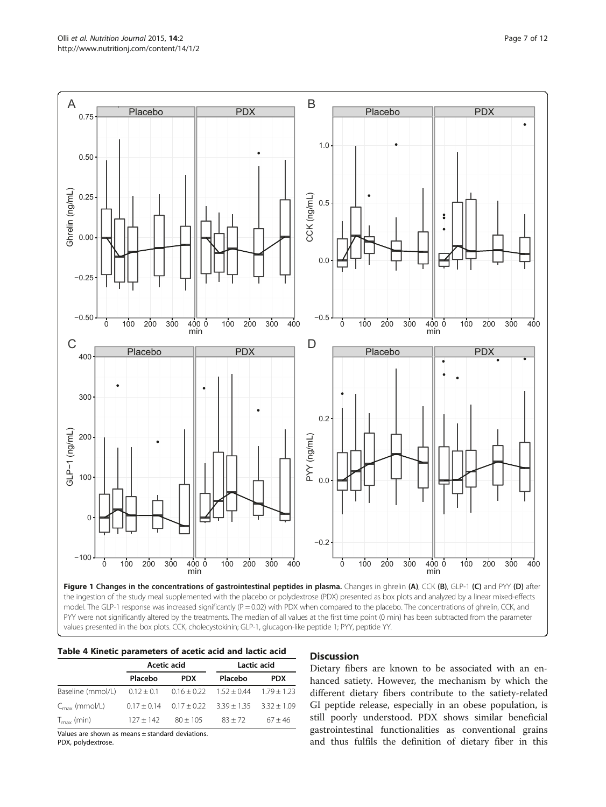<span id="page-6-0"></span>

the ingestion of the study meal supplemented with the placebo or polydextrose (PDX) presented as box plots and analyzed by a linear mixed-effects model. The GLP-1 response was increased significantly (P = 0.02) with PDX when compared to the placebo. The concentrations of ghrelin, CCK, and PYY were not significantly altered by the treatments. The median of all values at the first time point (0 min) has been subtracted from the parameter values presented in the box plots. CCK, cholecystokinin; GLP-1, glucagon-like peptide 1; PYY, peptide YY.

|                           |                                                                | Acetic acid     | Lactic acid                     |            |  |
|---------------------------|----------------------------------------------------------------|-----------------|---------------------------------|------------|--|
|                           | Placebo                                                        | <b>PDX</b>      | Placebo                         | <b>PDX</b> |  |
| Baseline (mmol/L)         | $0.12 \pm 0.1$ $0.16 \pm 0.22$ $1.52 \pm 0.44$ $1.79 \pm 1.23$ |                 |                                 |            |  |
| $C_{\text{max}}$ (mmol/L) | $0.17 + 0.14$                                                  | $0.17 \pm 0.22$ | $3.39 \pm 1.35$ $3.32 \pm 1.09$ |            |  |
| $T_{\rm max}$ (min)       | $127 + 142$                                                    | $80 + 105$      | $83 + 72$                       | $67 + 46$  |  |

Values are shown as means ± standard deviations.

PDX, polydextrose.

# **Discussion**

Dietary fibers are known to be associated with an enhanced satiety. However, the mechanism by which the different dietary fibers contribute to the satiety-related GI peptide release, especially in an obese population, is still poorly understood. PDX shows similar beneficial gastrointestinal functionalities as conventional grains and thus fulfils the definition of dietary fiber in this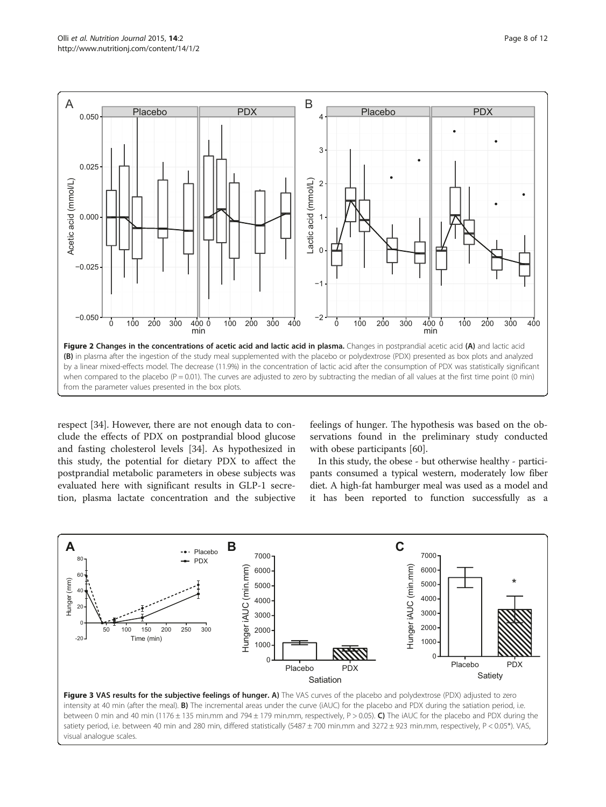<span id="page-7-0"></span>

respect [[34\]](#page-10-0). However, there are not enough data to conclude the effects of PDX on postprandial blood glucose and fasting cholesterol levels [[34](#page-10-0)]. As hypothesized in this study, the potential for dietary PDX to affect the postprandial metabolic parameters in obese subjects was evaluated here with significant results in GLP-1 secretion, plasma lactate concentration and the subjective feelings of hunger. The hypothesis was based on the observations found in the preliminary study conducted with obese participants [\[60](#page-11-0)].

In this study, the obese - but otherwise healthy - participants consumed a typical western, moderately low fiber diet. A high-fat hamburger meal was used as a model and it has been reported to function successfully as a



between 0 min and 40 min (1176 ± 135 min.mm and 794 ± 179 min.mm, respectively, P > 0.05). C) The iAUC for the placebo and PDX during the satiety period, i.e. between 40 min and 280 min, differed statistically (5487 ± 700 min.mm and 3272 ± 923 min.mm, respectively, P < 0.05\*). VAS, visual analogue scales.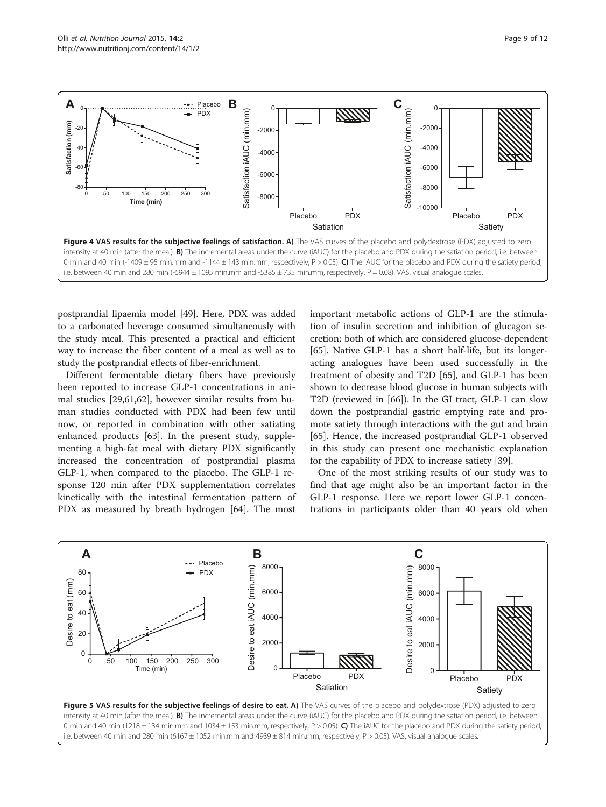<span id="page-8-0"></span>

postprandial lipaemia model [\[49\]](#page-11-0). Here, PDX was added to a carbonated beverage consumed simultaneously with the study meal. This presented a practical and efficient way to increase the fiber content of a meal as well as to study the postprandial effects of fiber-enrichment.

Different fermentable dietary fibers have previously been reported to increase GLP-1 concentrations in animal studies [\[29](#page-10-0)[,61,62](#page-11-0)], however similar results from human studies conducted with PDX had been few until now, or reported in combination with other satiating enhanced products [[63\]](#page-11-0). In the present study, supplementing a high-fat meal with dietary PDX significantly increased the concentration of postprandial plasma GLP-1, when compared to the placebo. The GLP-1 response 120 min after PDX supplementation correlates kinetically with the intestinal fermentation pattern of PDX as measured by breath hydrogen [\[64](#page-11-0)]. The most important metabolic actions of GLP-1 are the stimulation of insulin secretion and inhibition of glucagon secretion; both of which are considered glucose-dependent [[65\]](#page-11-0). Native GLP-1 has a short half-life, but its longeracting analogues have been used successfully in the treatment of obesity and T2D [\[65\]](#page-11-0), and GLP-1 has been shown to decrease blood glucose in human subjects with T2D (reviewed in [[66\]](#page-11-0)). In the GI tract, GLP-1 can slow down the postprandial gastric emptying rate and promote satiety through interactions with the gut and brain [[65\]](#page-11-0). Hence, the increased postprandial GLP-1 observed in this study can present one mechanistic explanation for the capability of PDX to increase satiety [\[39](#page-10-0)].

One of the most striking results of our study was to find that age might also be an important factor in the GLP-1 response. Here we report lower GLP-1 concentrations in participants older than 40 years old when



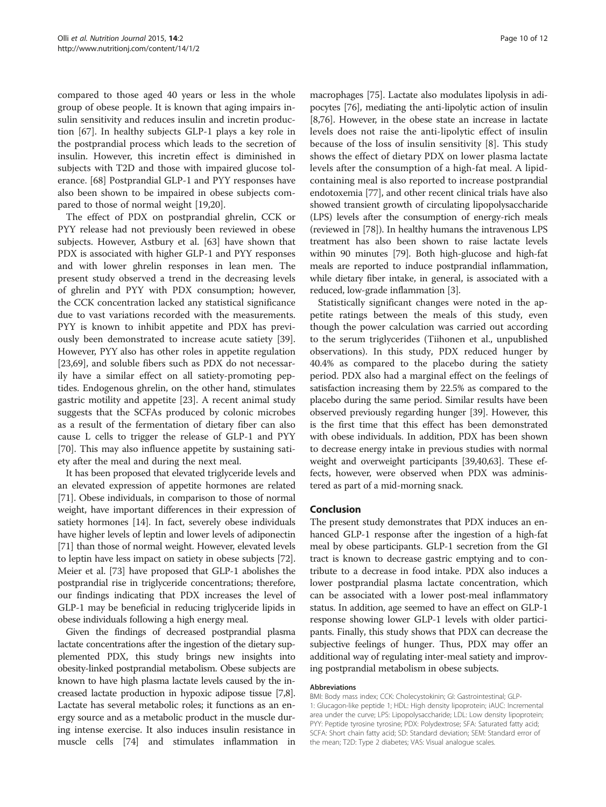compared to those aged 40 years or less in the whole group of obese people. It is known that aging impairs insulin sensitivity and reduces insulin and incretin production [\[67\]](#page-11-0). In healthy subjects GLP-1 plays a key role in the postprandial process which leads to the secretion of insulin. However, this incretin effect is diminished in subjects with T2D and those with impaired glucose tolerance. [[68](#page-11-0)] Postprandial GLP-1 and PYY responses have also been shown to be impaired in obese subjects compared to those of normal weight [[19,20\]](#page-10-0).

The effect of PDX on postprandial ghrelin, CCK or PYY release had not previously been reviewed in obese subjects. However, Astbury et al. [\[63](#page-11-0)] have shown that PDX is associated with higher GLP-1 and PYY responses and with lower ghrelin responses in lean men. The present study observed a trend in the decreasing levels of ghrelin and PYY with PDX consumption; however, the CCK concentration lacked any statistical significance due to vast variations recorded with the measurements. PYY is known to inhibit appetite and PDX has previously been demonstrated to increase acute satiety [\[39](#page-10-0)]. However, PYY also has other roles in appetite regulation [[23,](#page-10-0)[69\]](#page-11-0), and soluble fibers such as PDX do not necessarily have a similar effect on all satiety-promoting peptides. Endogenous ghrelin, on the other hand, stimulates gastric motility and appetite [[23\]](#page-10-0). A recent animal study suggests that the SCFAs produced by colonic microbes as a result of the fermentation of dietary fiber can also cause L cells to trigger the release of GLP-1 and PYY [[70\]](#page-11-0). This may also influence appetite by sustaining satiety after the meal and during the next meal.

It has been proposed that elevated triglyceride levels and an elevated expression of appetite hormones are related [[71](#page-11-0)]. Obese individuals, in comparison to those of normal weight, have important differences in their expression of satiety hormones [\[14](#page-10-0)]. In fact, severely obese individuals have higher levels of leptin and lower levels of adiponectin [[71](#page-11-0)] than those of normal weight. However, elevated levels to leptin have less impact on satiety in obese subjects [[72](#page-11-0)]. Meier et al. [\[73](#page-11-0)] have proposed that GLP-1 abolishes the postprandial rise in triglyceride concentrations; therefore, our findings indicating that PDX increases the level of GLP-1 may be beneficial in reducing triglyceride lipids in obese individuals following a high energy meal.

Given the findings of decreased postprandial plasma lactate concentrations after the ingestion of the dietary supplemented PDX, this study brings new insights into obesity-linked postprandial metabolism. Obese subjects are known to have high plasma lactate levels caused by the increased lactate production in hypoxic adipose tissue [\[7,8](#page-10-0)]. Lactate has several metabolic roles; it functions as an energy source and as a metabolic product in the muscle during intense exercise. It also induces insulin resistance in muscle cells [[74](#page-11-0)] and stimulates inflammation in

macrophages [[75](#page-11-0)]. Lactate also modulates lipolysis in adipocytes [\[76\]](#page-11-0), mediating the anti-lipolytic action of insulin [[8,](#page-10-0)[76](#page-11-0)]. However, in the obese state an increase in lactate levels does not raise the anti-lipolytic effect of insulin because of the loss of insulin sensitivity [\[8](#page-10-0)]. This study shows the effect of dietary PDX on lower plasma lactate levels after the consumption of a high-fat meal. A lipidcontaining meal is also reported to increase postprandial endotoxemia [\[77\]](#page-11-0), and other recent clinical trials have also showed transient growth of circulating lipopolysaccharide (LPS) levels after the consumption of energy-rich meals (reviewed in [[78](#page-11-0)]). In healthy humans the intravenous LPS treatment has also been shown to raise lactate levels within 90 minutes [\[79\]](#page-11-0). Both high-glucose and high-fat meals are reported to induce postprandial inflammation, while dietary fiber intake, in general, is associated with a reduced, low-grade inflammation [[3\]](#page-10-0).

Statistically significant changes were noted in the appetite ratings between the meals of this study, even though the power calculation was carried out according to the serum triglycerides (Tiihonen et al., unpublished observations). In this study, PDX reduced hunger by 40.4% as compared to the placebo during the satiety period. PDX also had a marginal effect on the feelings of satisfaction increasing them by 22.5% as compared to the placebo during the same period. Similar results have been observed previously regarding hunger [[39](#page-10-0)]. However, this is the first time that this effect has been demonstrated with obese individuals. In addition, PDX has been shown to decrease energy intake in previous studies with normal weight and overweight participants [\[39,](#page-10-0)[40](#page-11-0),[63](#page-11-0)]. These effects, however, were observed when PDX was administered as part of a mid-morning snack.

# Conclusion

The present study demonstrates that PDX induces an enhanced GLP-1 response after the ingestion of a high-fat meal by obese participants. GLP-1 secretion from the GI tract is known to decrease gastric emptying and to contribute to a decrease in food intake. PDX also induces a lower postprandial plasma lactate concentration, which can be associated with a lower post-meal inflammatory status. In addition, age seemed to have an effect on GLP-1 response showing lower GLP-1 levels with older participants. Finally, this study shows that PDX can decrease the subjective feelings of hunger. Thus, PDX may offer an additional way of regulating inter-meal satiety and improving postprandial metabolism in obese subjects.

#### Abbreviations

BMI: Body mass index; CCK: Cholecystokinin; GI: Gastrointestinal; GLP-1: Glucagon-like peptide 1; HDL: High density lipoprotein; iAUC: Incremental area under the curve; LPS: Lipopolysaccharide; LDL: Low density lipoprotein; PYY: Peptide tyrosine tyrosine; PDX: Polydextrose; SFA: Saturated fatty acid; SCFA: Short chain fatty acid; SD: Standard deviation; SEM: Standard error of the mean; T2D: Type 2 diabetes; VAS: Visual analogue scales.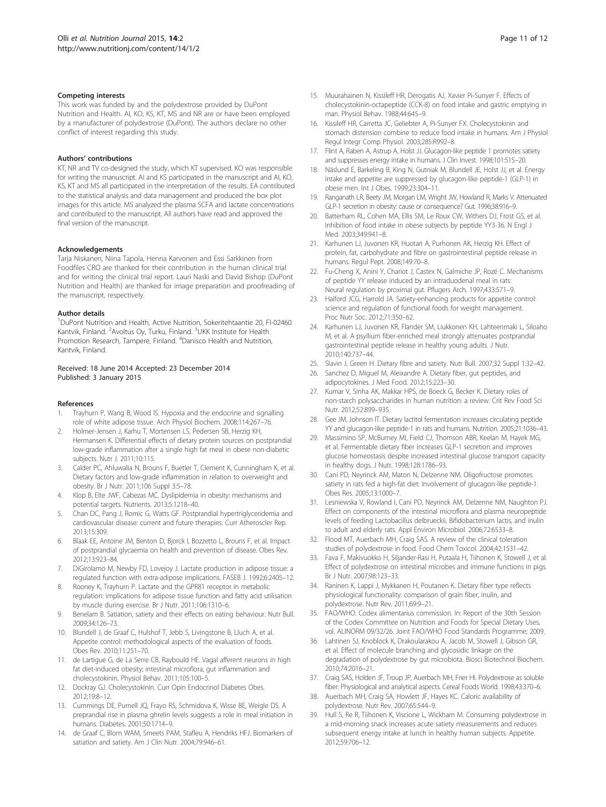#### <span id="page-10-0"></span>Competing interests

This work was funded by and the polydextrose provided by DuPont Nutrition and Health. AI, KO, KS, KT, MS and NR are or have been employed by a manufacturer of polydextrose (DuPont). The authors declare no other conflict of interest regarding this study.

#### Authors' contributions

KT, NR and TV co-designed the study, which KT supervised. KO was responsible for writing the manuscript. AI and KS participated in the manuscript and AI, KO, KS, KT and MS all participated in the interpretation of the results. EA contributed to the statistical analysis and data management and produced the box plot images for this article. MS analyzed the plasma SCFA and lactate concentrations and contributed to the manuscript. All authors have read and approved the final version of the manuscript.

#### Acknowledgements

Tarja Niskanen, Niina Tapola, Henna Karvonen and Essi Sarkkinen from Foodfiles CRO are thanked for their contribution in the human clinical trial and for writing the clinical trial report. Lauri Naski and David Bishop (DuPont Nutrition and Health) are thanked for image preparation and proofreading of the manuscript, respectively.

#### Author details

<sup>1</sup>DuPont Nutrition and Health, Active Nutrition, Sokeritehtaantie 20, FI-02460 Kantvik, Finland. <sup>2</sup> Avoltus Oy, Turku, Finland. <sup>3</sup>UKK Institute for Health Promotion Research, Tampere, Finland. <sup>4</sup>Danisco Health and Nutrition, Kantvik, Finland.

#### Received: 18 June 2014 Accepted: 23 December 2014 Published: 3 January 2015

#### References

- 1. Trayhurn P, Wang B, Wood IS. Hypoxia and the endocrine and signalling role of white adipose tissue. Arch Physiol Biochem. 2008;114:267–76.
- 2. Holmer-Jensen J, Karhu T, Mortensen LS, Pedersen SB, Herzig KH, Hermansen K. Differential effects of dietary protein sources on postprandial low-grade inflammation after a single high fat meal in obese non-diabetic subjects. Nutr J. 2011;10:115.
- Calder PC, Ahluwalia N, Brouns F, Buetler T, Clement K, Cunningham K, et al. Dietary factors and low-grade inflammation in relation to overweight and obesity. Br J Nutr. 2011;106 Suppl 3:5–78.
- 4. Klop B, Elte JWF, Cabezas MC. Dyslipidemia in obesity: mechanisms and potential targets. Nutrients. 2013;5:1218–40.
- 5. Chan DC, Pang J, Romic G, Watts GF. Postprandial hypertriglyceridemia and cardiovascular disease: current and future therapies. Curr Atheroscler Rep. 2013;15:309.
- 6. Blaak EE, Antoine JM, Benton D, Bjorck I, Bozzetto L, Brouns F, et al. Impact of postprandial glycaemia on health and prevention of disease. Obes Rev. 2012;13:923–84.
- 7. DiGirolamo M, Newby FD, Lovejoy J. Lactate production in adipose tissue: a regulated function with extra-adipose implications. FASEB J. 1992;6:2405–12.
- 8. Rooney K, Trayhurn P. Lactate and the GPR81 receptor in metabolic regulation: implications for adipose tissue function and fatty acid utilisation by muscle during exercise. Br J Nutr. 2011;106:1310–6.
- 9. Benelam B. Satiation, satiety and their effects on eating behaviour. Nutr Bull. 2009;34:126–73.
- 10. Blundell J, de Graaf C, Hulshof T, Jebb S, Livingstone B, Lluch A, et al. Appetite control: methodological aspects of the evaluation of foods. Obes Rev. 2010;11:251–70.
- 11. de Lartigue G, de La Serre CB, Raybould HE. Vagal afferent neurons in high fat diet-induced obesity; intestinal microflora, gut inflammation and cholecystokinin. Physiol Behav. 2011;105:100–5.
- 12. Dockray GJ. Cholecystokinin. Curr Opin Endocrinol Diabetes Obes. 2012;19:8–12.
- 13. Cummings DE, Purnell JQ, Frayo RS, Schmidova K, Wisse BE, Weigle DS. A preprandial rise in plasma ghrelin levels suggests a role in meal initiation in humans. Diabetes. 2001;50:1714–9.
- 14. de Graaf C, Blom WAM, Smeets PAM, Stafleu A, Hendriks HFJ. Biomarkers of satiation and satiety. Am J Clin Nutr. 2004;79:946–61.
- 15. Muurahainen N, Kissileff HR, Derogatis AJ, Xavier Pi-Sunyer F. Effects of cholecystokinin-octapeptide (CCK-8) on food intake and gastric emptying in man. Physiol Behav. 1988;44:645–9.
- 16. Kissileff HR, Carretta JC, Geliebter A, Pi-Sunyer FX. Cholecystokinin and stomach distension combine to reduce food intake in humans. Am J Physiol Regul Integr Comp Physiol. 2003;285:R992–8.
- 17. Flint A, Raben A, Astrup A, Holst JJ. Glucagon-like peptide 1 promotes satiety and suppresses energy intake in humans. J Clin Invest. 1998;101:515–20.
- 18. Näslund E, Barkeling B, King N, Gutniak M, Blundell JE, Holst JJ, et al. Energy intake and appetite are suppressed by glucagon-like peptide-1 (GLP-1) in obese men. Int J Obes. 1999;23:304–11.
- 19. Ranganath LR, Beety JM, Morgan LM, Wright JW, Howland R, Marks V. Attenuated GLP-1 secretion in obesity: cause or consequence? Gut. 1996;38:916–9.
- 20. Batterham RL, Cohen MA, Ellis SM, Le Roux CW, Withers DJ, Frost GS, et al. Inhibition of food intake in obese subjects by peptide YY3-36. N Engl J Med. 2003;349:941–8.
- 21. Karhunen LJ, Juvonen KR, Huotari A, Purhonen AK, Herzig KH. Effect of protein, fat, carbohydrate and fibre on gastrointestinal peptide release in humans. Regul Pept. 2008;149:70–8.
- 22. Fu-Cheng X, Anini Y, Chariot J, Castex N, Galmiche JP, Rozé C. Mechanisms of peptide YY release induced by an intraduodenal meal in rats: Neural regulation by proximal gut. Pflugers Arch. 1997;433:571–9.
- 23. Halford JCG, Harrold JA. Satiety-enhancing products for appetite control: science and regulation of functional foods for weight management. Proc Nutr Soc. 2012;71:350–62.
- 24. Karhunen LJ, Juvonen KR, Flander SM, Liukkonen KH, Lahteenmaki L, Siloaho M, et al. A psyllium fiber-enriched meal strongly attenuates postprandial gastrointestinal peptide release in healthy young adults. J Nutr. 2010;140:737–44.
- 25. Slavin J, Green H. Dietary fibre and satiety. Nutr Bull. 2007;32 Suppl 1:32–42.
- 26. Sanchez D, Miguel M, Aleixandre A. Dietary fiber, gut peptides, and adipocytokines. J Med Food. 2012;15:223–30.
- 27. Kumar V, Sinha AK, Makkar HPS, de Boeck G, Becker K. Dietary roles of non-starch polysaccharides in human nutrition: a review. Crit Rev Food Sci Nutr. 2012;52:899–935.
- Gee JM, Johnson IT. Dietary lactitol fermentation increases circulating peptide YY and glucagon-like peptide-1 in rats and humans. Nutrition. 2005;21:1036–43.
- 29. Massimino SP, McBurney MI, Field CJ, Thomson ABR, Keelan M, Hayek MG, et al. Fermentable dietary fiber increases GLP-1 secretion and improves glucose homeostasis despite increased intestinal glucose transport capacity in healthy dogs. J Nutr. 1998;128:1786–93.
- 30. Cani PD, Neyrinck AM, Maton N, Delzenne NM. Oligofructose promotes satiety in rats fed a high-fat diet: Involvement of glucagon-like peptide-1. Obes Res. 2005;13:1000–7.
- 31. Lesniewska V, Rowland I, Cani PD, Neyrinck AM, Delzenne NM, Naughton PJ. Effect on components of the intestinal microflora and plasma neuropeptide levels of feeding Lactobacillus delbrueckii, Bifidobacterium lactis, and inulin to adult and elderly rats. Appl Environ Microbiol. 2006;72:6533–8.
- 32. Flood MT, Auerbach MH, Craig SAS. A review of the clinical toleration studies of polydextrose in food. Food Chem Toxicol. 2004;42:1531–42.
- 33. Fava F, Makivuokko H, Siljander-Rasi H, Putaala H, Tiihonen K, Stowell J, et al. Effect of polydextrose on intestinal microbes and immune functions in pigs. Br J Nutr. 2007;98:123–33.
- 34. Raninen K, Lappi J, Mykkanen H, Poutanen K. Dietary fiber type reflects physiological functionality: comparison of grain fiber, inulin, and polydextrose. Nutr Rev. 2011;69:9–21.
- FAO/WHO. Codex alimentarius commission. In: Report of the 30th Session of the Codex Committee on Nutrition and Foods for Special Dietary Uses, vol. ALINORM 09/32/26. Joint FAO/WHO Food Standards Programme; 2009.
- 36. Lahtinen SJ, Knoblock K, Drakoularakou A, Jacob M, Stowell J, Gibson GR, et al. Effect of molecule branching and glycosidic linkage on the degradation of polydextrose by gut microbiota. Biosci Biotechnol Biochem. 2010;74:2016–21.
- 37. Craig SAS, Holden JF, Troup JP, Auerbach MH, Frier HI. Polydextrose as soluble fiber: Physiological and analytical aspects. Cereal Foods World. 1998;43:370–6.
- 38. Auerbach MH, Craig SA, Howlett JF, Hayes KC. Caloric availability of polydextrose. Nutr Rev. 2007;65:544–9.
- Hull S, Re R, Tiihonen K, Viscione L, Wickham M. Consuming polydextrose in a mid-morning snack increases acute satiety measurements and reduces subsequent energy intake at lunch in healthy human subjects. Appetite. 2012;59:706–12.